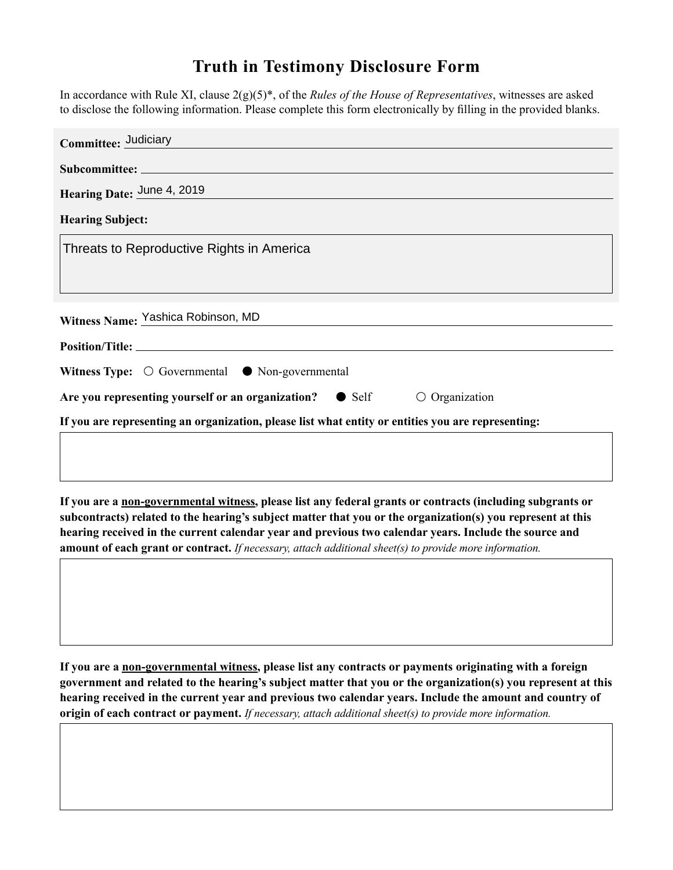## **Truth in Testimony Disclosure Form**

In accordance with Rule XI, clause 2(g)(5)\*, of the *Rules of the House of Representatives*, witnesses are asked to disclose the following information. Please complete this form electronically by filling in the provided blanks.

| Committee: Judiciary                                                                               |
|----------------------------------------------------------------------------------------------------|
|                                                                                                    |
| Hearing Date: June 4, 2019                                                                         |
| <b>Hearing Subject:</b>                                                                            |
| Threats to Reproductive Rights in America                                                          |
|                                                                                                    |
|                                                                                                    |
| Witness Name: Yashica Robinson, MD                                                                 |
|                                                                                                    |
| Witness Type: $\bigcirc$ Governmental $\bullet$ Non-governmental                                   |
| Are you representing yourself or an organization? • Self<br>$\circ$ Organization                   |
| If you are representing an organization, please list what entity or entities you are representing: |
|                                                                                                    |

**If you are a non-governmental witness, please list any federal grants or contracts (including subgrants or subcontracts) related to the hearing's subject matter that you or the organization(s) you represent at this hearing received in the current calendar year and previous two calendar years. Include the source and amount of each grant or contract.** *If necessary, attach additional sheet(s) to provide more information.*

**If you are a non-governmental witness, please list any contracts or payments originating with a foreign government and related to the hearing's subject matter that you or the organization(s) you represent at this hearing received in the current year and previous two calendar years. Include the amount and country of origin of each contract or payment.** *If necessary, attach additional sheet(s) to provide more information.*